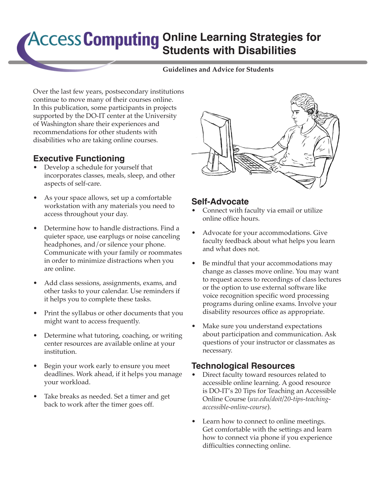# **ACCESS Computing Online Learning Strategies for Students with Disabilities**

#### **Guidelines and Advice for Students**

Over the last few years, postsecondary institutions continue to move many of their courses online. In this publication, some participants in projects supported by the DO-IT center at the University of Washington share their experiences and recommendations for other students with disabilities who are taking online courses.

## **Executive Functioning**

- Develop a schedule for yourself that incorporates classes, meals, sleep, and other aspects of self-care.
- As your space allows, set up a comfortable workstation with any materials you need to access throughout your day.
- Determine how to handle distractions. Find a quieter space, use earplugs or noise canceling headphones, and/or silence your phone. Communicate with your family or roommates in order to minimize distractions when you are online.
- Add class sessions, assignments, exams, and other tasks to your calendar. Use reminders if it helps you to complete these tasks.
- Print the syllabus or other documents that you might want to access frequently.
- Determine what tutoring, coaching, or writing center resources are available online at your institution.
- Begin your work early to ensure you meet deadlines. Work ahead, if it helps you manage your workload.
- Take breaks as needed. Set a timer and get back to work after the timer goes off.



### **Self-Advocate**

- Connect with faculty via email or utilize online office hours.
- Advocate for your accommodations. Give faculty feedback about what helps you learn and what does not.
- Be mindful that your accommodations may change as classes move online. You may want to request access to recordings of class lectures or the option to use external software like voice recognition specific word processing programs during online exams. Involve your disability resources office as appropriate.
- Make sure you understand expectations about participation and communication. Ask questions of your instructor or classmates as necessary.

### **Technological Resources**

- Direct faculty toward resources related to accessible online learning. A good resource is DO-IT's 20 Tips for Teaching an Accessible Online Course (*[uw.edu/doit/20-tips-teaching](http://uw.edu/doit/20-tips-teaching-accessible-online-course)[accessible-online-course](http://uw.edu/doit/20-tips-teaching-accessible-online-course)*).
- Learn how to connect to online meetings. Get comfortable with the settings and learn how to connect via phone if you experience difficulties connecting online.